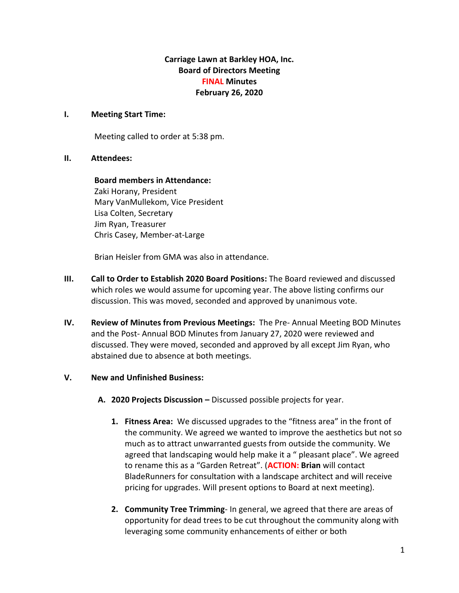# **Carriage Lawn at Barkley HOA, Inc. Board of Directors Meeting FINAL Minutes February 26, 2020**

## **I. Meeting Start Time:**

Meeting called to order at 5:38 pm.

## **II. Attendees:**

**Board members in Attendance:** Zaki Horany, President Mary VanMullekom, Vice President Lisa Colten, Secretary Jim Ryan, Treasurer Chris Casey, Member-at-Large

Brian Heisler from GMA was also in attendance.

- **III. Call to Order to Establish 2020 Board Positions:** The Board reviewed and discussed which roles we would assume for upcoming year. The above listing confirms our discussion. This was moved, seconded and approved by unanimous vote.
- **IV. Review of Minutes from Previous Meetings:** The Pre- Annual Meeting BOD Minutes and the Post- Annual BOD Minutes from January 27, 2020 were reviewed and discussed. They were moved, seconded and approved by all except Jim Ryan, who abstained due to absence at both meetings.

## **V. New and Unfinished Business:**

- **A. 2020 Projects Discussion –** Discussed possible projects for year.
	- **1. Fitness Area:** We discussed upgrades to the "fitness area" in the front of the community. We agreed we wanted to improve the aesthetics but not so much as to attract unwarranted guests from outside the community. We agreed that landscaping would help make it a " pleasant place". We agreed to rename this as a "Garden Retreat". (**ACTION: Brian** will contact BladeRunners for consultation with a landscape architect and will receive pricing for upgrades. Will present options to Board at next meeting).
	- **2. Community Tree Trimming** In general, we agreed that there are areas of opportunity for dead trees to be cut throughout the community along with leveraging some community enhancements of either or both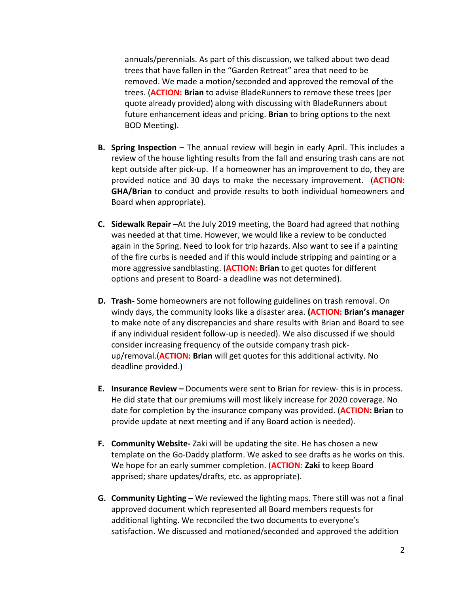annuals/perennials. As part of this discussion, we talked about two dead trees that have fallen in the "Garden Retreat" area that need to be removed. We made a motion/seconded and approved the removal of the trees. (**ACTION: Brian** to advise BladeRunners to remove these trees (per quote already provided) along with discussing with BladeRunners about future enhancement ideas and pricing. **Brian** to bring options to the next BOD Meeting).

- **B. Spring Inspection –** The annual review will begin in early April. This includes a review of the house lighting results from the fall and ensuring trash cans are not kept outside after pick-up. If a homeowner has an improvement to do, they are provided notice and 30 days to make the necessary improvement. (**ACTION: GHA/Brian** to conduct and provide results to both individual homeowners and Board when appropriate).
- **C. Sidewalk Repair –**At the July 2019 meeting, the Board had agreed that nothing was needed at that time. However, we would like a review to be conducted again in the Spring. Need to look for trip hazards. Also want to see if a painting of the fire curbs is needed and if this would include stripping and painting or a more aggressive sandblasting. (**ACTION: Brian** to get quotes for different options and present to Board- a deadline was not determined).
- **D. Trash-** Some homeowners are not following guidelines on trash removal. On windy days, the community looks like a disaster area. **(ACTION: Brian's manager** to make note of any discrepancies and share results with Brian and Board to see if any individual resident follow-up is needed). We also discussed if we should consider increasing frequency of the outside company trash pickup/removal.(**ACTION: Brian** will get quotes for this additional activity. No deadline provided.)
- **E. Insurance Review –** Documents were sent to Brian for review- this is in process. He did state that our premiums will most likely increase for 2020 coverage. No date for completion by the insurance company was provided. (**ACTION: Brian** to provide update at next meeting and if any Board action is needed).
- **F. Community Website-** Zaki will be updating the site. He has chosen a new template on the Go-Daddy platform. We asked to see drafts as he works on this. We hope for an early summer completion. (**ACTION: Zaki** to keep Board apprised; share updates/drafts, etc. as appropriate).
- **G. Community Lighting –** We reviewed the lighting maps. There still was not a final approved document which represented all Board members requests for additional lighting. We reconciled the two documents to everyone's satisfaction. We discussed and motioned/seconded and approved the addition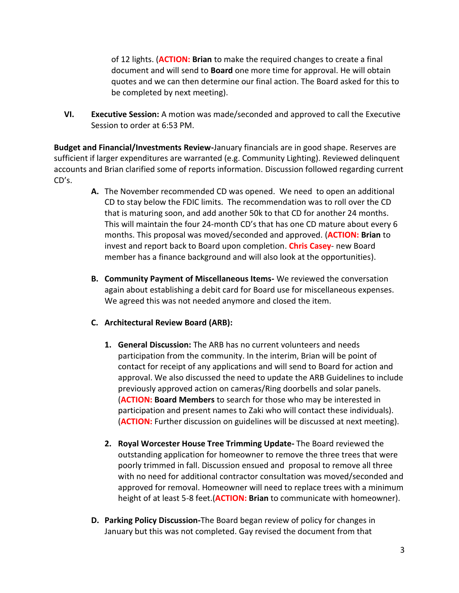of 12 lights. (**ACTION: Brian** to make the required changes to create a final document and will send to **Board** one more time for approval. He will obtain quotes and we can then determine our final action. The Board asked for this to be completed by next meeting).

**VI. Executive Session:** A motion was made/seconded and approved to call the Executive Session to order at 6:53 PM.

**Budget and Financial/Investments Review-**January financials are in good shape. Reserves are sufficient if larger expenditures are warranted (e.g. Community Lighting). Reviewed delinquent accounts and Brian clarified some of reports information. Discussion followed regarding current CD's.

- **A.** The November recommended CD was opened. We need to open an additional CD to stay below the FDIC limits. The recommendation was to roll over the CD that is maturing soon, and add another 50k to that CD for another 24 months. This will maintain the four 24-month CD's that has one CD mature about every 6 months. This proposal was moved/seconded and approved. (**ACTION: Brian** to invest and report back to Board upon completion. **Chris Casey**- new Board member has a finance background and will also look at the opportunities).
- **B. Community Payment of Miscellaneous Items-** We reviewed the conversation again about establishing a debit card for Board use for miscellaneous expenses. We agreed this was not needed anymore and closed the item.
- **C. Architectural Review Board (ARB):**
	- **1. General Discussion:** The ARB has no current volunteers and needs participation from the community. In the interim, Brian will be point of contact for receipt of any applications and will send to Board for action and approval. We also discussed the need to update the ARB Guidelines to include previously approved action on cameras/Ring doorbells and solar panels. (**ACTION: Board Members** to search for those who may be interested in participation and present names to Zaki who will contact these individuals). (**ACTION:** Further discussion on guidelines will be discussed at next meeting).
	- **2. Royal Worcester House Tree Trimming Update-** The Board reviewed the outstanding application for homeowner to remove the three trees that were poorly trimmed in fall. Discussion ensued and proposal to remove all three with no need for additional contractor consultation was moved/seconded and approved for removal. Homeowner will need to replace trees with a minimum height of at least 5-8 feet.(**ACTION: Brian** to communicate with homeowner).
- **D. Parking Policy Discussion-**The Board began review of policy for changes in January but this was not completed. Gay revised the document from that